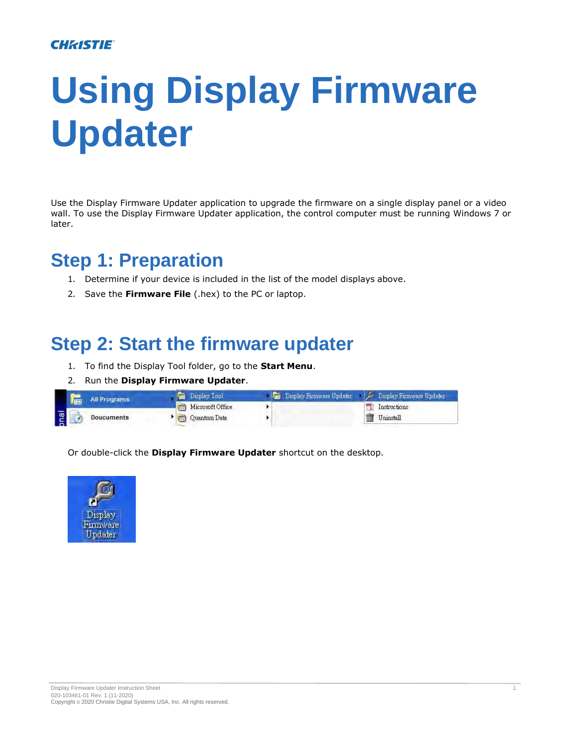### **CHRISTIE**

# **Using Display Firmware Updater**

Use the Display Firmware Updater application to upgrade the firmware on a single display panel or a video wall. To use the Display Firmware Updater application, the control computer must be running Windows 7 or later.

## **Step 1: Preparation**

- 1. Determine if your device is included in the list of the model displays above.
- 2. Save the **Firmware File** (.hex) to the PC or laptop.

# **Step 2: Start the firmware updater**

- 1. To find the Display Tool folder, go to the **Start Menu**.
- 2. Run the **Display Firmware Updater**.

|          | <b>FRI</b> | <b>All Programs</b> | <b><i><u>Property States</u></i></b><br>Display Tool | Display Firmware Updater   P Display Firmware Updater |                |
|----------|------------|---------------------|------------------------------------------------------|-------------------------------------------------------|----------------|
|          |            |                     | Microsoft Office                                     |                                                       | Instructions   |
| <b>I</b> |            | Doucuments          | <b>The Quantum Data</b>                              |                                                       | Ŵ<br>Uninstall |

Or double-click the **Display Firmware Updater** shortcut on the desktop.

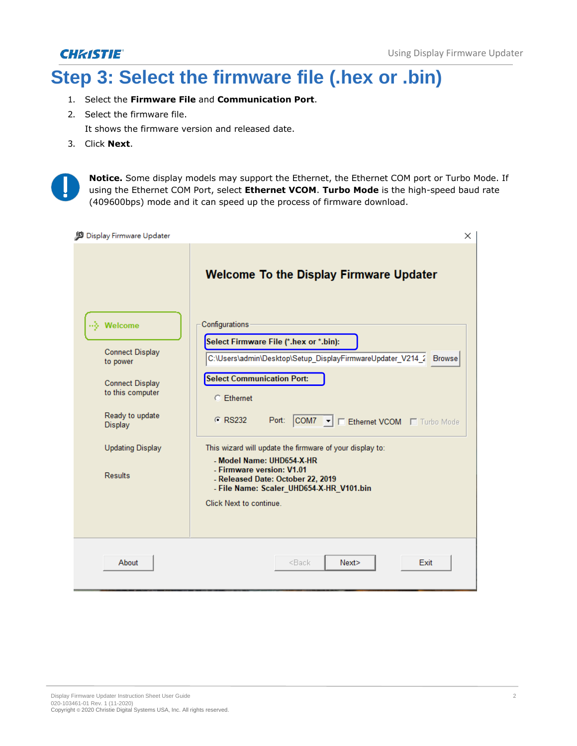### **CHRISTIE**®

# **Step 3: Select the firmware file (.hex or .bin)**

- 1. Select the **Firmware File** and **Communication Port**.
- 2. Select the firmware file.

It shows the firmware version and released date.

3. Click **Next**.



**Notice.** Some display models may support the Ethernet, the Ethernet COM port or Turbo Mode. If using the Ethernet COM Port, select **Ethernet VCOM**. **Turbo Mode** is the high-speed baud rate (409600bps) mode and it can speed up the process of firmware download.

| Display Firmware Updater                   | $\times$                                                                                                                              |
|--------------------------------------------|---------------------------------------------------------------------------------------------------------------------------------------|
|                                            | <b>Welcome To the Display Firmware Updater</b>                                                                                        |
| <b></b> ∛ Welcome                          | Configurations                                                                                                                        |
| <b>Connect Display</b><br>to power         | Select Firmware File (*.hex or *.bin):<br>C:\Users\admin\Desktop\Setup_DisplayFirmwareUpdater_V214_2 Browse                           |
| <b>Connect Display</b><br>to this computer | <b>Select Communication Port:</b><br>C Ethernet                                                                                       |
| Ready to update<br>Display                 | C RS232<br>Port: COM7 $\blacktriangleright$ <b>Ethernet VCOM El Turbo Mode</b>                                                        |
| <b>Updating Display</b>                    | This wizard will update the firmware of your display to:<br>- Model Name: UHD654-X-HR                                                 |
| <b>Results</b>                             | - Firmware version: V1.01<br>- Released Date: October 22, 2019<br>- File Name: Scaler UHD654-X-HR V101.bin<br>Click Next to continue. |
|                                            |                                                                                                                                       |
| About                                      | <back<br>Next<br/>Exit</back<br>                                                                                                      |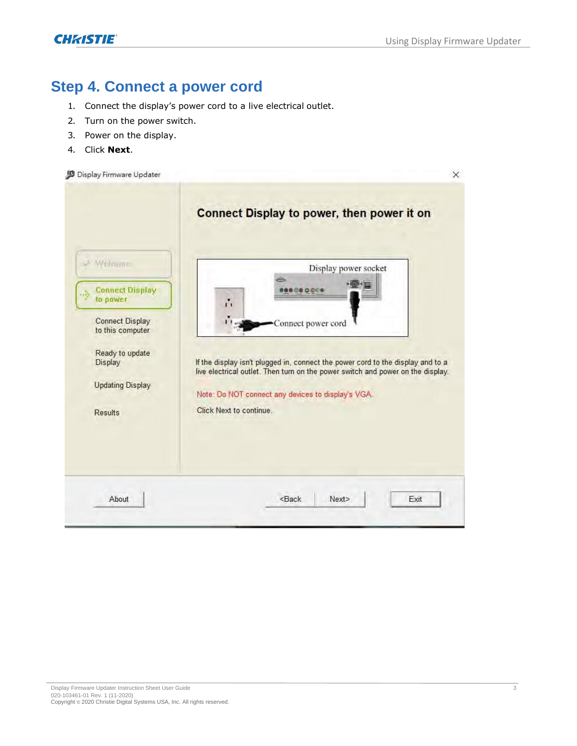**CHRISTIE** 

### **Step 4. Connect a power cord**

- 1. Connect the display's power cord to a live electrical outlet.
- 2. Turn on the power switch.
- 3. Power on the display.
- 4. Click **Next**.

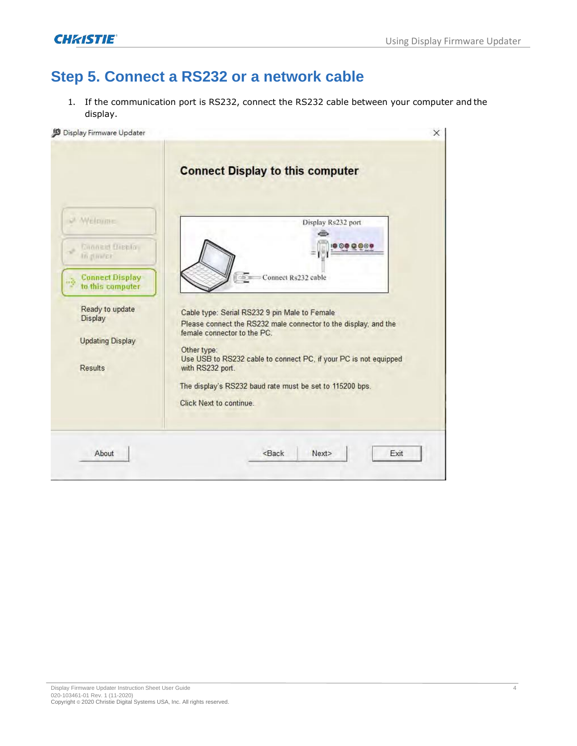### **Step 5. Connect a RS232 or a network cable**

1. If the communication port is RS232, connect the RS232 cable between your computer and the display.

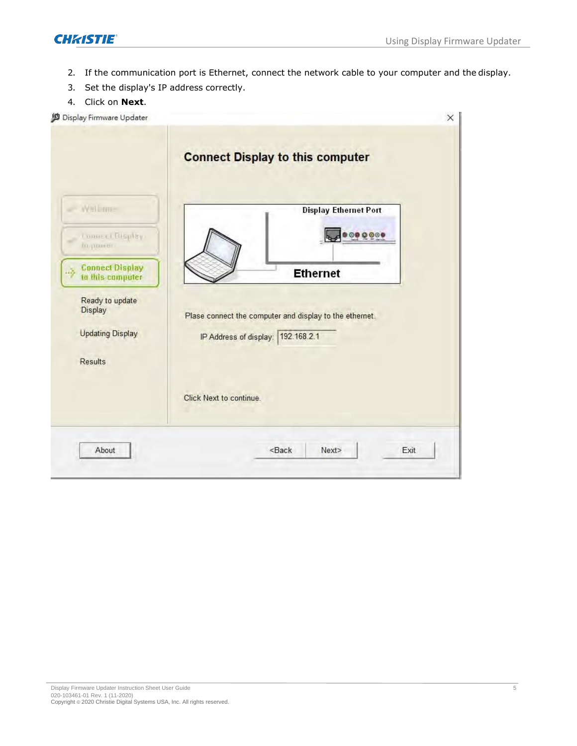

- 2. If the communication port is Ethernet, connect the network cable to your computer and the display.
- 3. Set the display's IP address correctly.
- 4. Click on **Next**.

| Display Firmware Updater                          | ×                                                       |
|---------------------------------------------------|---------------------------------------------------------|
|                                                   | <b>Connect Display to this computer</b>                 |
| Wallame                                           | <b>Display Ethernet Port</b>                            |
| Lonneel Elisplay<br>Impanien                      | $0.000000$                                              |
| <b>Connect Display</b><br>1.3<br>to this computer | <b>Ethernet</b>                                         |
| Ready to update<br>Display                        | Plase connect the computer and display to the ethernet. |
| <b>Updating Display</b>                           | IP Address of display: 192.168.2.1                      |
| Results                                           |                                                         |
|                                                   | Click Next to continue.                                 |
|                                                   |                                                         |
| About                                             | $<$ Back<br>Exit<br>Next>                               |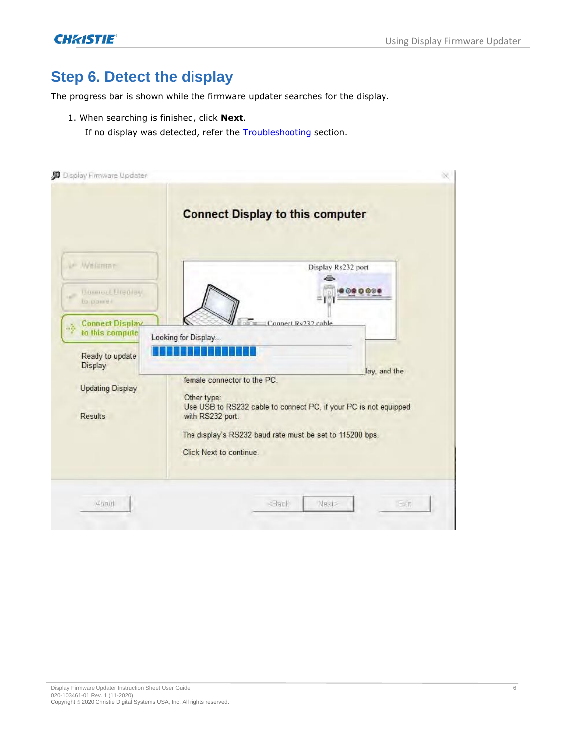### **Step 6. Detect the display**

The progress bar is shown while the firmware updater searches for the display.

- 1. When searching is finished, click **Next**.
	- If no display was detected, refer the Troubleshooting section.

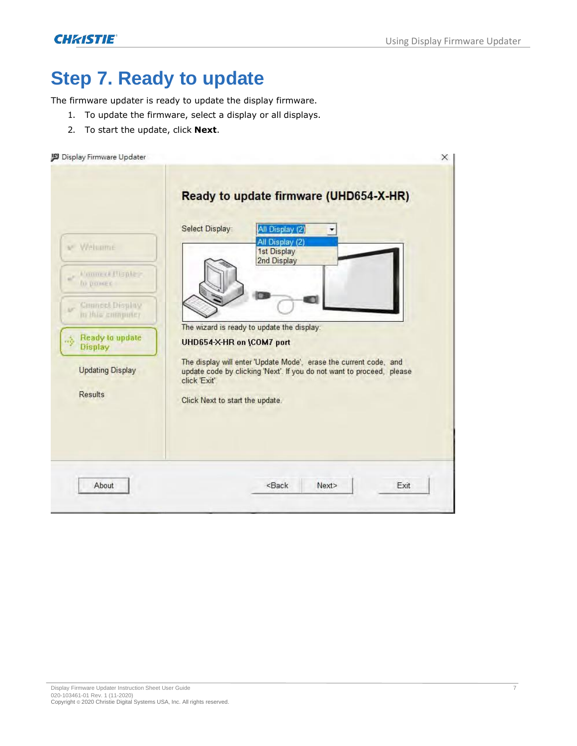X

# **Step 7. Ready to update**

The firmware updater is ready to update the display firmware.

- 1. To update the firmware, select a display or all displays.
- 2. To start the update, click **Next**.

#### Display Firmware Updater

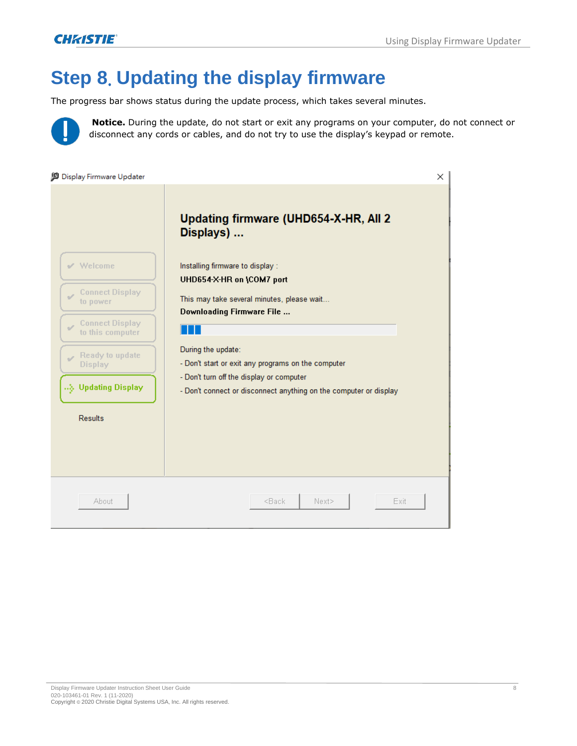# **Step 8**. **Updating the display firmware**

The progress bar shows status during the update process, which takes several minutes.



**Notice.** During the update, do not start or exit any programs on your computer, do not connect or disconnect any cords or cables, and do not try to use the display's keypad or remote.

| Display Firmware Updater                            | $\times$                                                                                                      |  |  |
|-----------------------------------------------------|---------------------------------------------------------------------------------------------------------------|--|--|
|                                                     | Updating firmware (UHD654-X-HR, All 2)<br>Displays)                                                           |  |  |
| $\mathcal V$ Welcome                                | Installing firmware to display :<br>UHD654-X-HR on \COM7 port                                                 |  |  |
| <b>Connect Display</b><br>$\mathcal{A}$<br>to power | This may take several minutes, please wait<br>Downloading Firmware File                                       |  |  |
| <b>Connect Display</b><br>S<br>to this computer     |                                                                                                               |  |  |
| Ready to update<br><b>Display</b>                   | During the update:<br>- Don't start or exit any programs on the computer                                      |  |  |
| Updating Display                                    | - Don't turn off the display or computer<br>- Don't connect or disconnect anything on the computer or display |  |  |
| <b>Results</b>                                      |                                                                                                               |  |  |
|                                                     |                                                                                                               |  |  |
| About                                               | <back<br>Next&gt;<br/>Exit</back<br>                                                                          |  |  |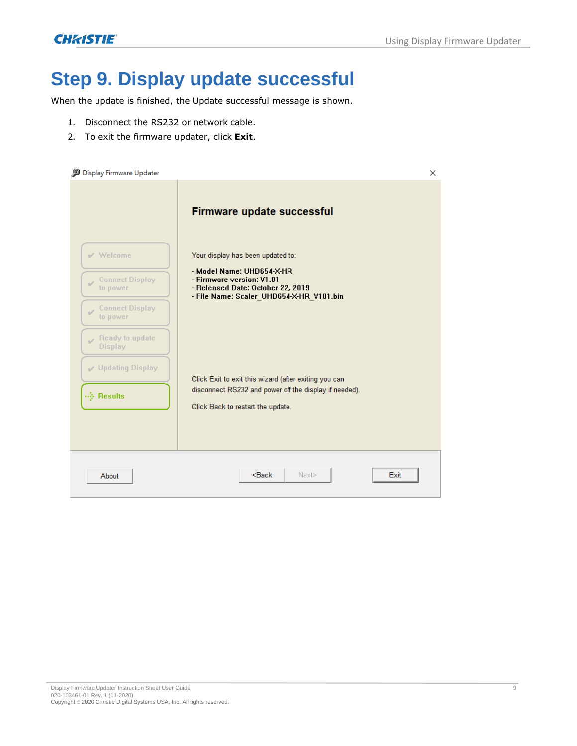**CHRISTIE** 

# **Step 9. Display update successful**

When the update is finished, the Update successful message is shown.

- 1. Disconnect the RS232 or network cable.
- 2. To exit the firmware updater, click **Exit**.

| Display Firmware Updater                            |                                                                                                                                                      | × |
|-----------------------------------------------------|------------------------------------------------------------------------------------------------------------------------------------------------------|---|
|                                                     | <b>Firmware update successful</b>                                                                                                                    |   |
| $\vee$ Welcome                                      | Your display has been updated to:                                                                                                                    |   |
| <b>Connect Display</b><br>to power                  | - Model Name: UHD654-X-HR<br>- Firmware version: V1.01<br>- Released Date: October 22, 2019<br>- File Name: Scaler_UHD654-X-HR_V101.bin              |   |
| <b>Connect Display</b><br>$\mathcal{A}$<br>to power |                                                                                                                                                      |   |
| Ready to update<br>s<br><b>Display</b>              |                                                                                                                                                      |   |
| Updating Display                                    |                                                                                                                                                      |   |
| $\overrightarrow{}$ Results                         | Click Exit to exit this wizard (after exiting you can<br>disconnect RS232 and power off the display if needed).<br>Click Back to restart the update. |   |
|                                                     |                                                                                                                                                      |   |
| About                                               | $Back$<br>Next><br>Exit                                                                                                                              |   |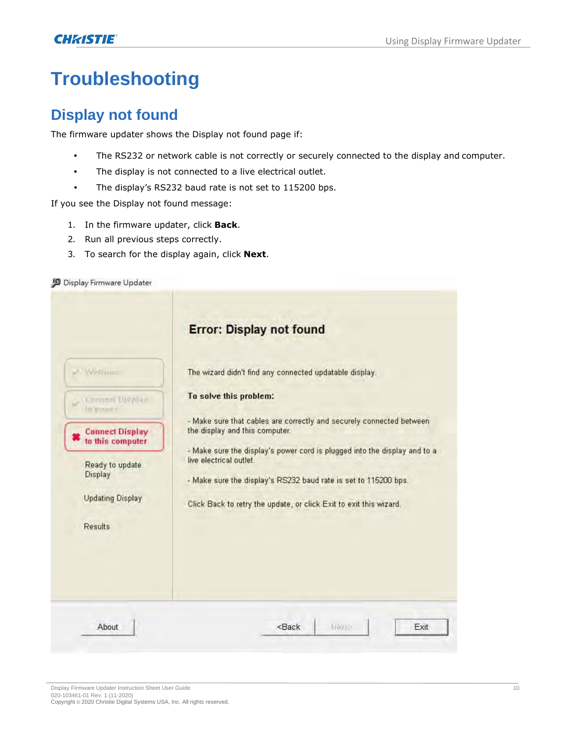# **Troubleshooting**

### **Display not found**

The firmware updater shows the Display not found page if:

- The RS232 or network cable is not correctly or securely connected to the display and computer.
- The display is not connected to a live electrical outlet.
- The display's RS232 baud rate is not set to 115200 bps.

If you see the Display not found message:

- 1. In the firmware updater, click **Back**.
- 2. Run all previous steps correctly.
- 3. To search for the display again, click **Next**.

#### Display Firmware Updater

|                                                       | <b>Error: Display not found</b>                                                                                                                                                                                                               |  |                |
|-------------------------------------------------------|-----------------------------------------------------------------------------------------------------------------------------------------------------------------------------------------------------------------------------------------------|--|----------------|
| a" Wellsome                                           | The wizard didn't find any connected updatable display.                                                                                                                                                                                       |  |                |
| Connect Display<br>o<br><b>In nower</b>               | To solve this problem:                                                                                                                                                                                                                        |  |                |
| <b>Connect Display</b><br>to this computer            | - Make sure that cables are correctly and securely connected between<br>the display and this computer.                                                                                                                                        |  |                |
| Ready to update<br>Display<br><b>Updating Display</b> | - Make sure the display's power cord is plugged into the display and to a<br>live electrical outlet.<br>- Make sure the display's RS232 baud rate is set to 115200 bps.<br>Click Back to retry the update, or click Exit to exit this wizard. |  |                |
|                                                       |                                                                                                                                                                                                                                               |  | <b>Results</b> |
|                                                       |                                                                                                                                                                                                                                               |  |                |
| About                                                 | Next<br><back<br>Exit</back<br>                                                                                                                                                                                                               |  |                |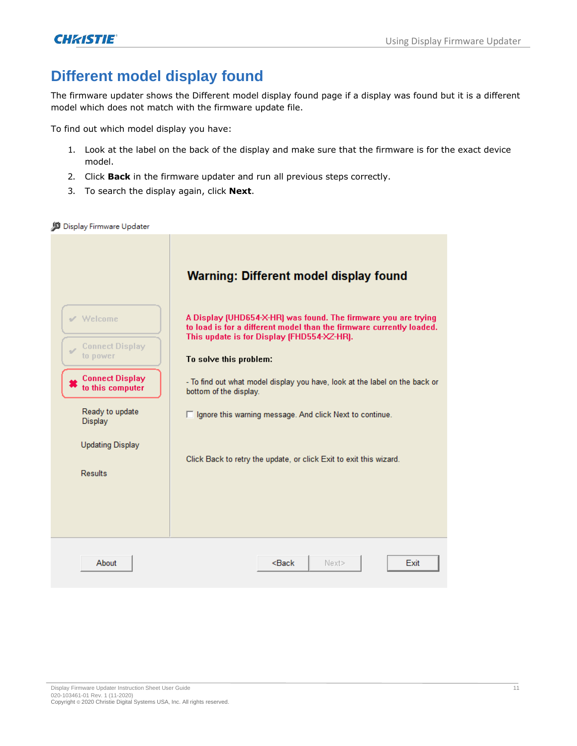### **Different model display found**

The firmware updater shows the Different model display found page if a display was found but it is a different model which does not match with the firmware update file.

To find out which model display you have:

- 1. Look at the label on the back of the display and make sure that the firmware is for the exact device model.
- 2. Click **Back** in the firmware updater and run all previous steps correctly.
- 3. To search the display again, click **Next**.

#### Display Firmware Updater

|                                                     | Warning: Different model display found                                                                                                                                               |
|-----------------------------------------------------|--------------------------------------------------------------------------------------------------------------------------------------------------------------------------------------|
| $\vee$ Welcome                                      | A Display (UHD654-X-HR) was found. The firmware you are trying<br>to load is for a different model than the firmware currently loaded.<br>This update is for Display (FHD554-XZ-HR). |
| <b>Connect Display</b><br>$\frac{1}{2}$<br>to power | To solve this problem:                                                                                                                                                               |
| <b>Connect Display</b><br>to this computer          | - To find out what model display you have, look at the label on the back or<br>bottom of the display.                                                                                |
| Ready to update<br>Display                          | $\Box$ Ignore this warning message. And click Next to continue.                                                                                                                      |
| <b>Updating Display</b><br><b>Results</b>           | Click Back to retry the update, or click Exit to exit this wizard.                                                                                                                   |
|                                                     |                                                                                                                                                                                      |
| About                                               | $Back$<br>Exit<br>Next>                                                                                                                                                              |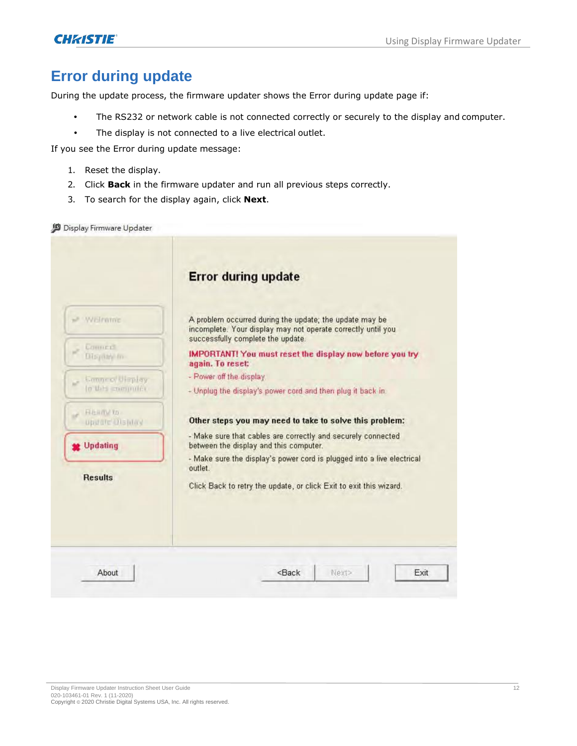### **Error during update**

During the update process, the firmware updater shows the Error during update page if:

- The RS232 or network cable is not connected correctly or securely to the display and computer.
- The display is not connected to a live electrical outlet.

If you see the Error during update message:

- 1. Reset the display.
- 2. Click **Back** in the firmware updater and run all previous steps correctly.
- 3. To search for the display again, click **Next**.

|                                            | <b>Error during update</b>                                                                             |  |                                   |
|--------------------------------------------|--------------------------------------------------------------------------------------------------------|--|-----------------------------------|
| - WEIrame                                  | A problem occurred during the update; the update may be                                                |  |                                   |
|                                            | incomplete. Your display may not operate correctly until you<br>successfully complete the update.      |  |                                   |
| Conners.<br>Disyant m                      | IMPORTANT! You must reset the display now before you try<br>again. To reset:                           |  |                                   |
| <b>Canneo Ulaplay</b><br>to this committee | - Power off the display.<br>- Unplug the display's power cord and then plug it back in.                |  |                                   |
|                                            |                                                                                                        |  | <b>HEAN to</b><br>upuate Distilay |
| Updating                                   | - Make sure that cables are correctly and securely connected<br>between the display and this computer. |  |                                   |
|                                            | - Make sure the display's power cord is plugged into a live electrical<br>outlet.                      |  |                                   |
| <b>Results</b>                             |                                                                                                        |  |                                   |
|                                            | Click Back to retry the update, or click Exit to exit this wizard.                                     |  |                                   |
|                                            |                                                                                                        |  |                                   |
|                                            |                                                                                                        |  |                                   |
|                                            |                                                                                                        |  |                                   |